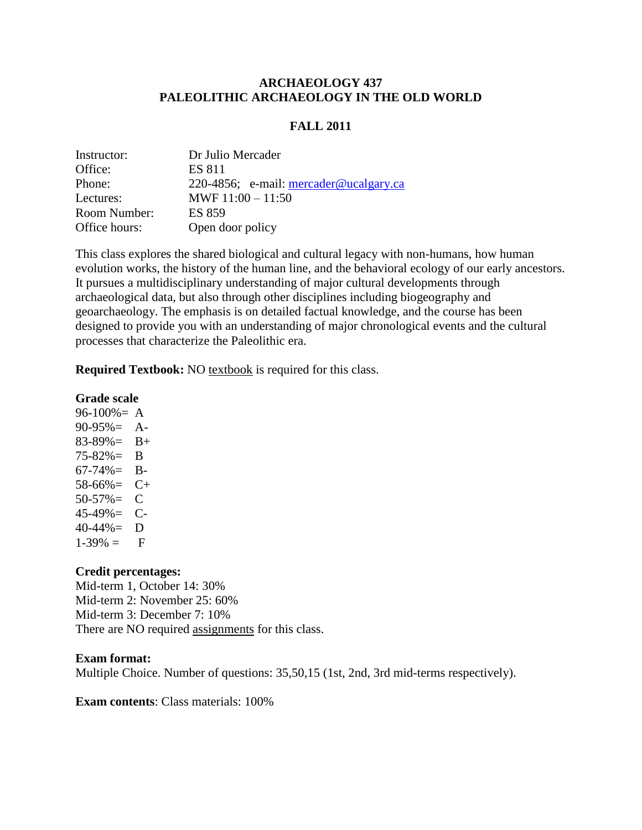## **ARCHAEOLOGY 437 PALEOLITHIC ARCHAEOLOGY IN THE OLD WORLD**

## **FALL 2011**

| Instructor:   | Dr Julio Mercader                        |
|---------------|------------------------------------------|
| Office:       | <b>ES 811</b>                            |
| Phone:        | 220-4856; e-mail: $mercader@ucalgary.ca$ |
| Lectures:     | MWF $11:00 - 11:50$                      |
| Room Number:  | <b>ES 859</b>                            |
| Office hours: | Open door policy                         |

This class explores the shared biological and cultural legacy with non-humans, how human evolution works, the history of the human line, and the behavioral ecology of our early ancestors. It pursues a multidisciplinary understanding of major cultural developments through archaeological data, but also through other disciplines including biogeography and geoarchaeology. The emphasis is on detailed factual knowledge, and the course has been designed to provide you with an understanding of major chronological events and the cultural processes that characterize the Paleolithic era.

**Required Textbook:** NO textbook is required for this class.

#### **Grade scale**

 $96-100% = A$ 90-95%= A- $83-89\% = B+$ 75-82%= B  $67-74\% = B$ - $58-66\% = C+$  $50-57\% = C$ 45-49%= C- $40-44\% = D$  $1-39\% = \quad F$ 

## **Credit percentages:**

Mid-term 1, October 14: 30% Mid-term 2: November 25: 60% Mid-term 3: December 7: 10% There are NO required assignments for this class.

#### **Exam format:**

Multiple Choice. Number of questions: 35,50,15 (1st, 2nd, 3rd mid-terms respectively).

**Exam contents**: Class materials: 100%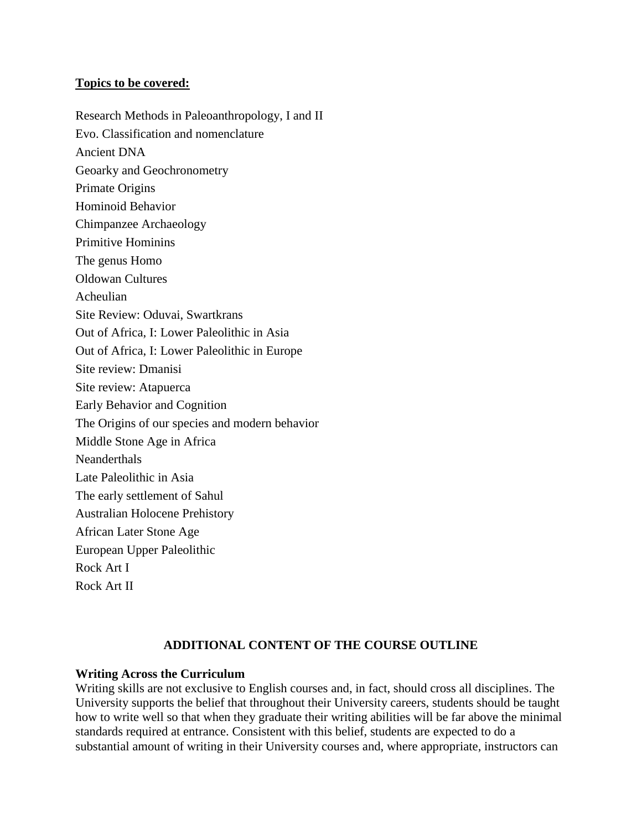## **Topics to be covered:**

Research Methods in Paleoanthropology, I and II Evo. Classification and nomenclature Ancient DNA Geoarky and Geochronometry Primate Origins Hominoid Behavior Chimpanzee Archaeology Primitive Hominins The genus Homo Oldowan Cultures Acheulian Site Review: Oduvai, Swartkrans Out of Africa, I: Lower Paleolithic in Asia Out of Africa, I: Lower Paleolithic in Europe Site review: Dmanisi Site review: Atapuerca Early Behavior and Cognition The Origins of our species and modern behavior Middle Stone Age in Africa **Neanderthals** Late Paleolithic in Asia The early settlement of Sahul Australian Holocene Prehistory African Later Stone Age European Upper Paleolithic Rock Art I Rock Art II

# **ADDITIONAL CONTENT OF THE COURSE OUTLINE**

## **Writing Across the Curriculum**

Writing skills are not exclusive to English courses and, in fact, should cross all disciplines. The University supports the belief that throughout their University careers, students should be taught how to write well so that when they graduate their writing abilities will be far above the minimal standards required at entrance. Consistent with this belief, students are expected to do a substantial amount of writing in their University courses and, where appropriate, instructors can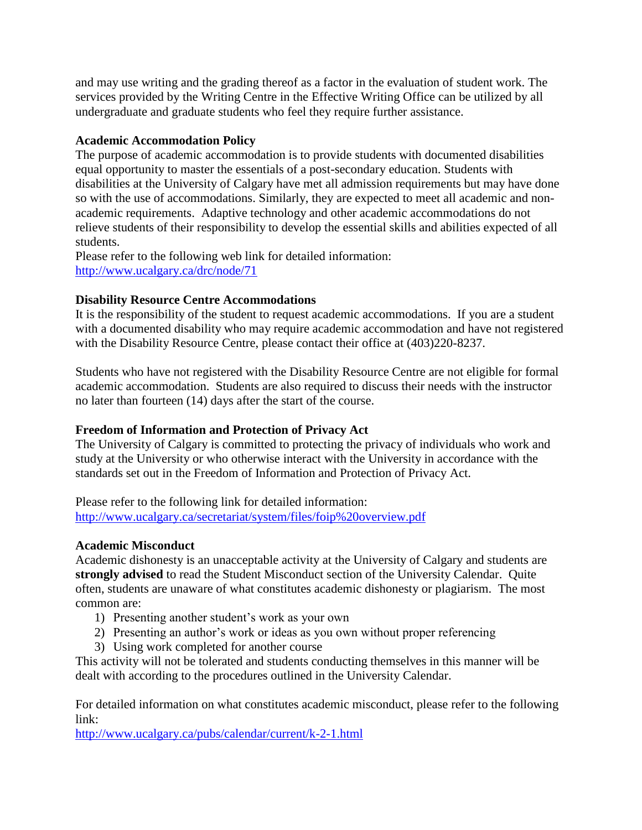and may use writing and the grading thereof as a factor in the evaluation of student work. The services provided by the Writing Centre in the Effective Writing Office can be utilized by all undergraduate and graduate students who feel they require further assistance.

## **Academic Accommodation Policy**

The purpose of academic accommodation is to provide students with documented disabilities equal opportunity to master the essentials of a post-secondary education. Students with disabilities at the University of Calgary have met all admission requirements but may have done so with the use of accommodations. Similarly, they are expected to meet all academic and nonacademic requirements. Adaptive technology and other academic accommodations do not relieve students of their responsibility to develop the essential skills and abilities expected of all students.

Please refer to the following web link for detailed information: <http://www.ucalgary.ca/drc/node/71>

# **Disability Resource Centre Accommodations**

It is the responsibility of the student to request academic accommodations. If you are a student with a documented disability who may require academic accommodation and have not registered with the Disability Resource Centre, please contact their office at (403)220-8237.

Students who have not registered with the Disability Resource Centre are not eligible for formal academic accommodation. Students are also required to discuss their needs with the instructor no later than fourteen (14) days after the start of the course.

# **Freedom of Information and Protection of Privacy Act**

The University of Calgary is committed to protecting the privacy of individuals who work and study at the University or who otherwise interact with the University in accordance with the standards set out in the Freedom of Information and Protection of Privacy Act.

Please refer to the following link for detailed information: <http://www.ucalgary.ca/secretariat/system/files/foip%20overview.pdf>

# **Academic Misconduct**

Academic dishonesty is an unacceptable activity at the University of Calgary and students are **strongly advised** to read the Student Misconduct section of the University Calendar. Quite often, students are unaware of what constitutes academic dishonesty or plagiarism. The most common are:

- 1) Presenting another student's work as your own
- 2) Presenting an author's work or ideas as you own without proper referencing
- 3) Using work completed for another course

This activity will not be tolerated and students conducting themselves in this manner will be dealt with according to the procedures outlined in the University Calendar.

For detailed information on what constitutes academic misconduct, please refer to the following link:

<http://www.ucalgary.ca/pubs/calendar/current/k-2-1.html>